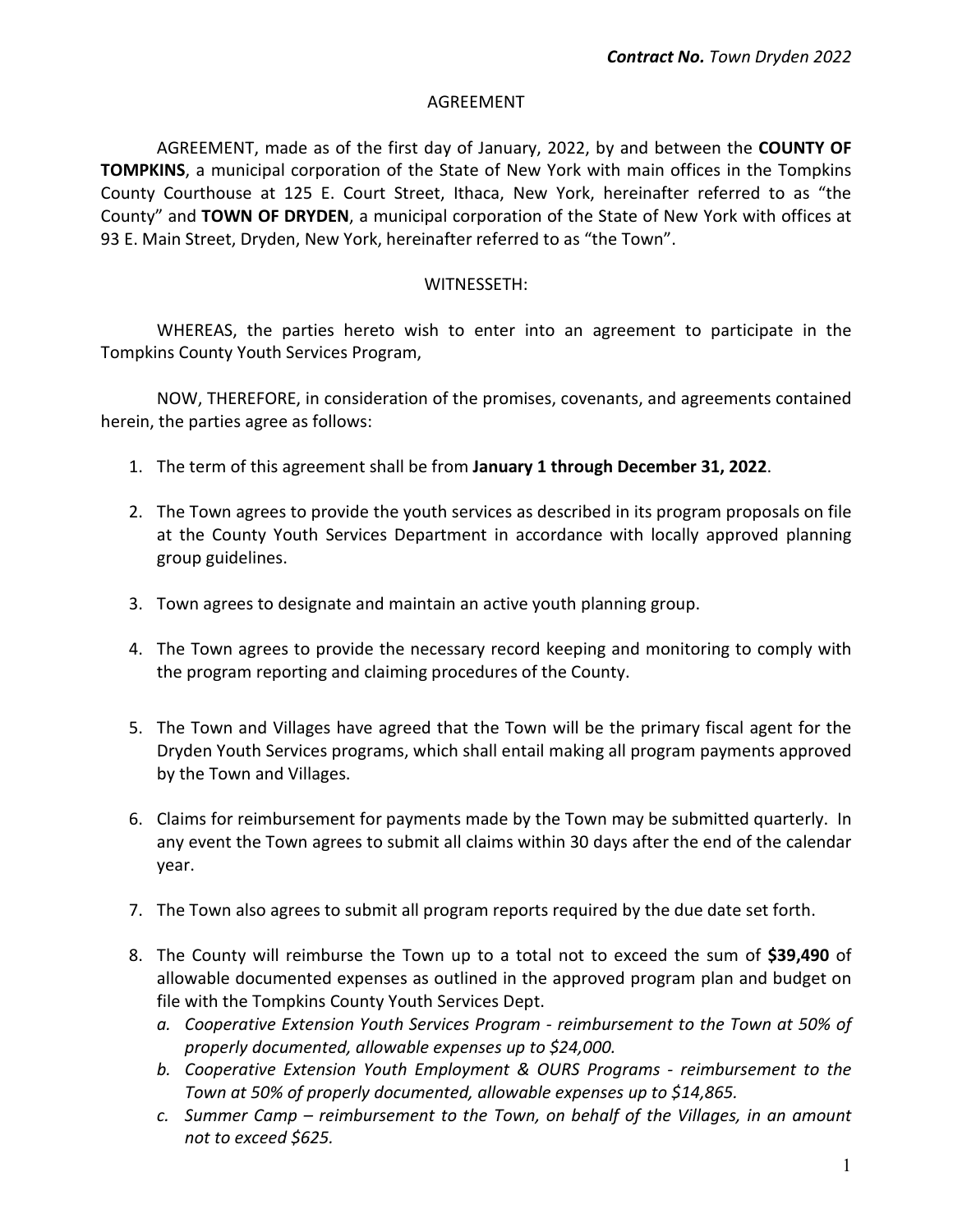#### AGREEMENT

AGREEMENT, made as of the first day of January, 2022, by and between the **COUNTY OF TOMPKINS**, a municipal corporation of the State of New York with main offices in the Tompkins County Courthouse at 125 E. Court Street, Ithaca, New York, hereinafter referred to as "the County" and **TOWN OF DRYDEN**, a municipal corporation of the State of New York with offices at 93 E. Main Street, Dryden, New York, hereinafter referred to as "the Town".

#### WITNESSETH:

WHEREAS, the parties hereto wish to enter into an agreement to participate in the Tompkins County Youth Services Program,

NOW, THEREFORE, in consideration of the promises, covenants, and agreements contained herein, the parties agree as follows:

- 1. The term of this agreement shall be from **January 1 through December 31, 2022**.
- 2. The Town agrees to provide the youth services as described in its program proposals on file at the County Youth Services Department in accordance with locally approved planning group guidelines.
- 3. Town agrees to designate and maintain an active youth planning group.
- 4. The Town agrees to provide the necessary record keeping and monitoring to comply with the program reporting and claiming procedures of the County.
- 5. The Town and Villages have agreed that the Town will be the primary fiscal agent for the Dryden Youth Services programs, which shall entail making all program payments approved by the Town and Villages.
- 6. Claims for reimbursement for payments made by the Town may be submitted quarterly. In any event the Town agrees to submit all claims within 30 days after the end of the calendar year.
- 7. The Town also agrees to submit all program reports required by the due date set forth.
- 8. The County will reimburse the Town up to a total not to exceed the sum of **\$39,490** of allowable documented expenses as outlined in the approved program plan and budget on file with the Tompkins County Youth Services Dept.
	- *a. Cooperative Extension Youth Services Program - reimbursement to the Town at 50% of properly documented, allowable expenses up to \$24,000.*
	- *b. Cooperative Extension Youth Employment & OURS Programs - reimbursement to the Town at 50% of properly documented, allowable expenses up to \$14,865.*
	- *c. Summer Camp – reimbursement to the Town, on behalf of the Villages, in an amount not to exceed \$625.*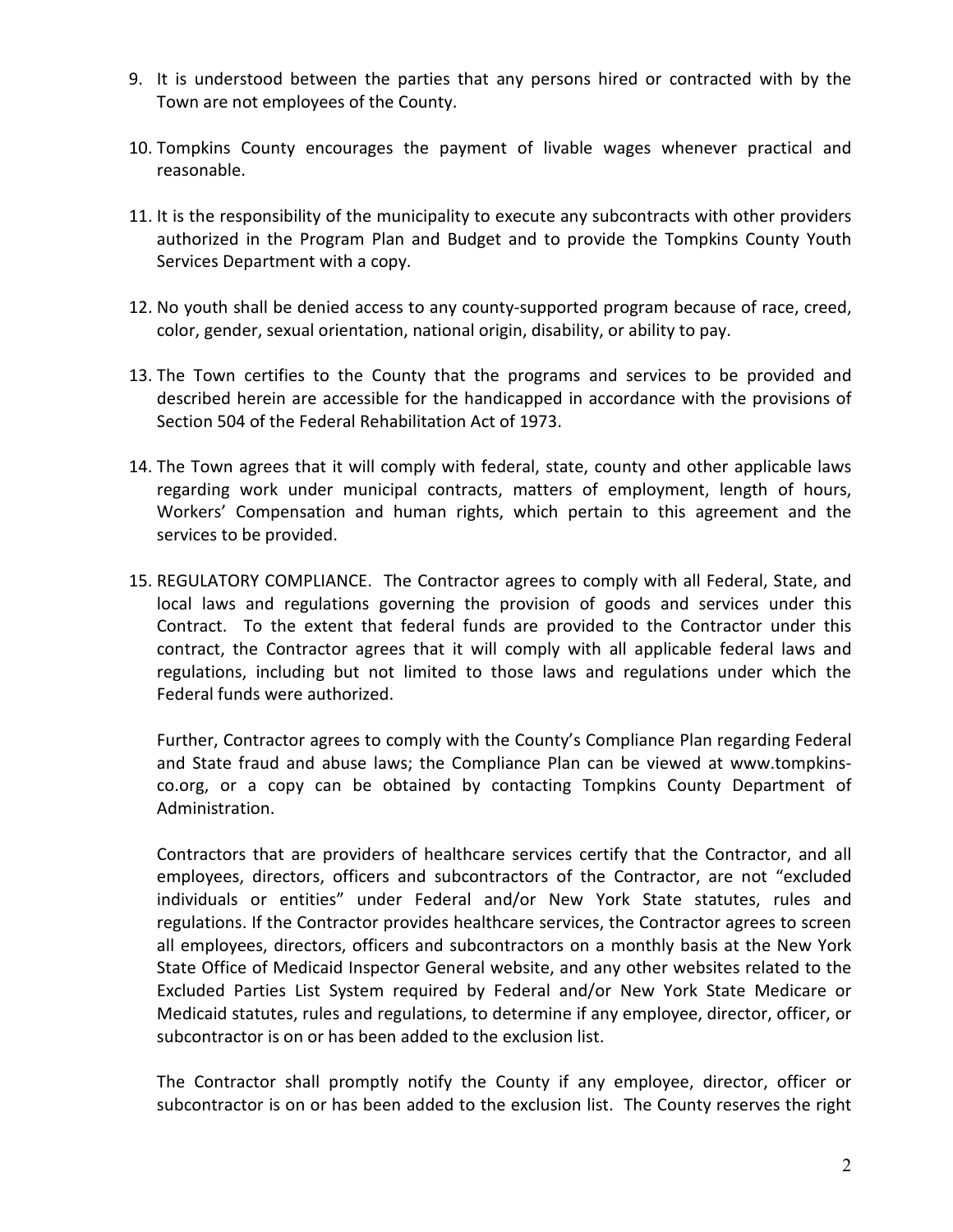- 9. It is understood between the parties that any persons hired or contracted with by the Town are not employees of the County.
- 10. Tompkins County encourages the payment of livable wages whenever practical and reasonable.
- 11. It is the responsibility of the municipality to execute any subcontracts with other providers authorized in the Program Plan and Budget and to provide the Tompkins County Youth Services Department with a copy.
- 12. No youth shall be denied access to any county-supported program because of race, creed, color, gender, sexual orientation, national origin, disability, or ability to pay.
- 13. The Town certifies to the County that the programs and services to be provided and described herein are accessible for the handicapped in accordance with the provisions of Section 504 of the Federal Rehabilitation Act of 1973.
- 14. The Town agrees that it will comply with federal, state, county and other applicable laws regarding work under municipal contracts, matters of employment, length of hours, Workers' Compensation and human rights, which pertain to this agreement and the services to be provided.
- 15. REGULATORY COMPLIANCE. The Contractor agrees to comply with all Federal, State, and local laws and regulations governing the provision of goods and services under this Contract. To the extent that federal funds are provided to the Contractor under this contract, the Contractor agrees that it will comply with all applicable federal laws and regulations, including but not limited to those laws and regulations under which the Federal funds were authorized.

Further, Contractor agrees to comply with the County's Compliance Plan regarding Federal and State fraud and abuse laws; the Compliance Plan can be viewed at www.tompkinsco.org, or a copy can be obtained by contacting Tompkins County Department of Administration.

Contractors that are providers of healthcare services certify that the Contractor, and all employees, directors, officers and subcontractors of the Contractor, are not "excluded individuals or entities" under Federal and/or New York State statutes, rules and regulations. If the Contractor provides healthcare services, the Contractor agrees to screen all employees, directors, officers and subcontractors on a monthly basis at the New York State Office of Medicaid Inspector General website, and any other websites related to the Excluded Parties List System required by Federal and/or New York State Medicare or Medicaid statutes, rules and regulations, to determine if any employee, director, officer, or subcontractor is on or has been added to the exclusion list.

The Contractor shall promptly notify the County if any employee, director, officer or subcontractor is on or has been added to the exclusion list. The County reserves the right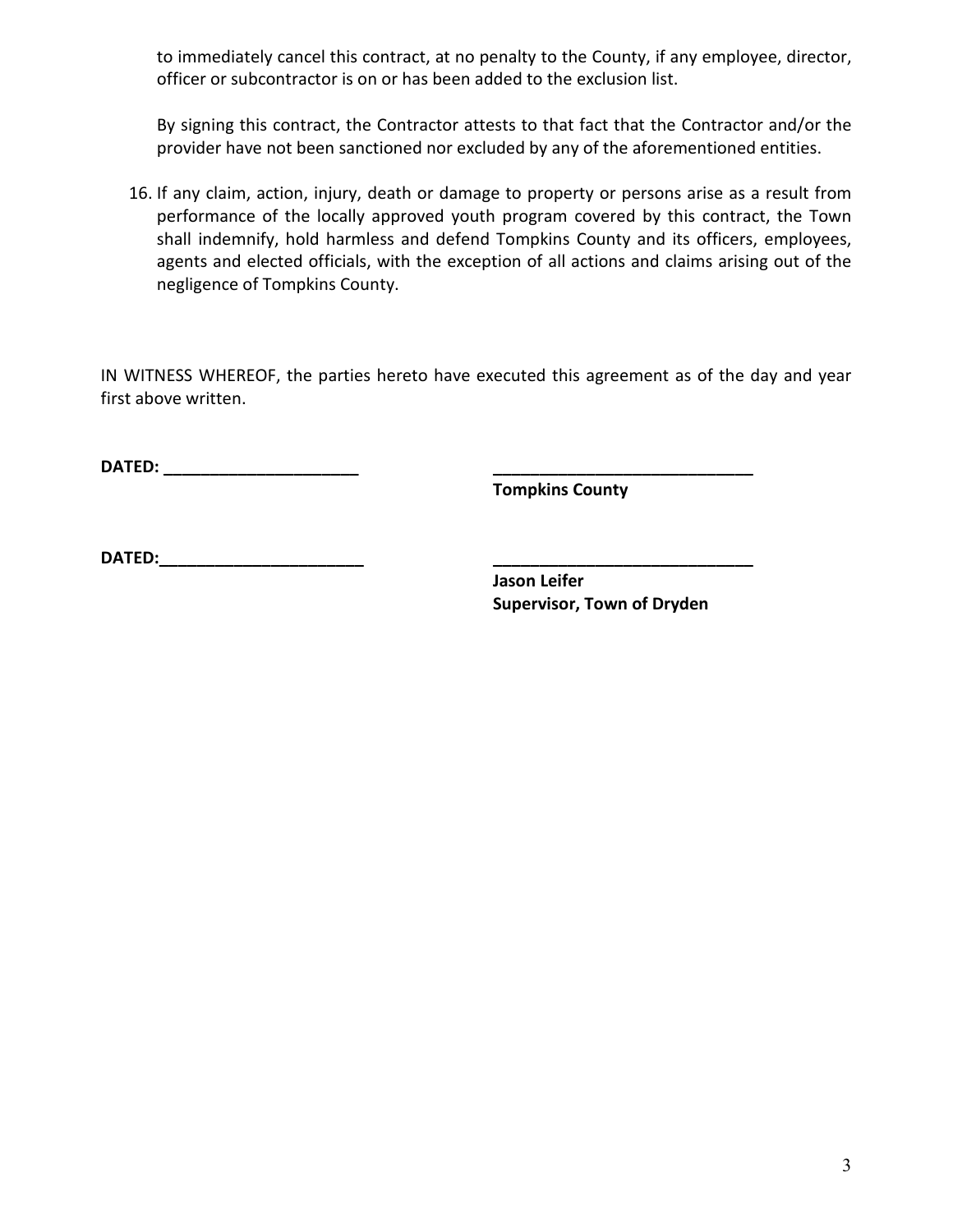to immediately cancel this contract, at no penalty to the County, if any employee, director, officer or subcontractor is on or has been added to the exclusion list.

By signing this contract, the Contractor attests to that fact that the Contractor and/or the provider have not been sanctioned nor excluded by any of the aforementioned entities.

16. If any claim, action, injury, death or damage to property or persons arise as a result from performance of the locally approved youth program covered by this contract, the Town shall indemnify, hold harmless and defend Tompkins County and its officers, employees, agents and elected officials, with the exception of all actions and claims arising out of the negligence of Tompkins County.

IN WITNESS WHEREOF, the parties hereto have executed this agreement as of the day and year first above written.

**DATED: \_\_\_\_\_\_\_\_\_\_\_\_\_\_\_\_\_\_\_\_\_ \_\_\_\_\_\_\_\_\_\_\_\_\_\_\_\_\_\_\_\_\_\_\_\_\_\_\_\_**

**Tompkins County**

**DATED:\_\_\_\_\_\_\_\_\_\_\_\_\_\_\_\_\_\_\_\_\_\_ \_\_\_\_\_\_\_\_\_\_\_\_\_\_\_\_\_\_\_\_\_\_\_\_\_\_\_\_**

**Jason Leifer Supervisor, Town of Dryden**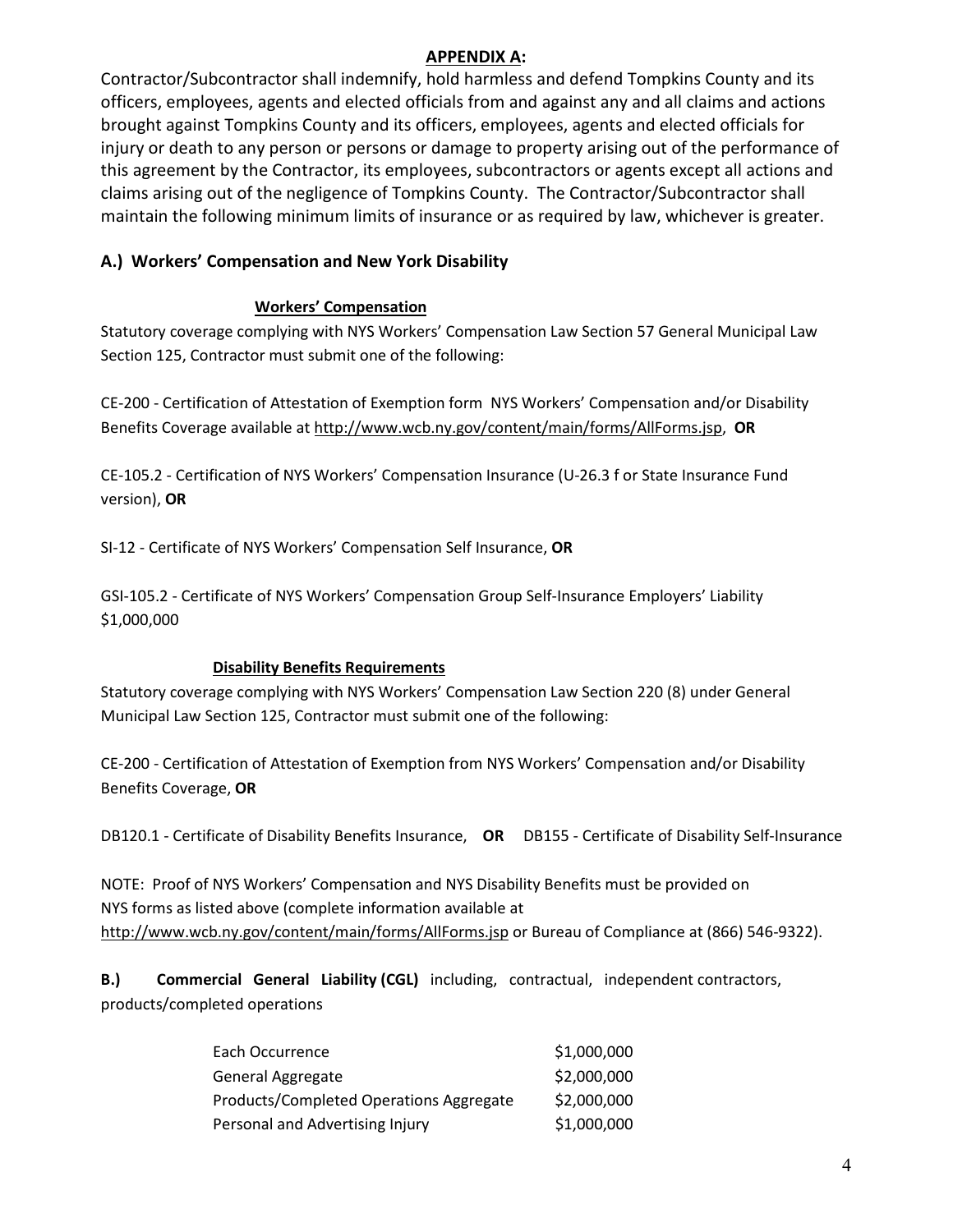# **APPENDIX A:**

Contractor/Subcontractor shall indemnify, hold harmless and defend Tompkins County and its officers, employees, agents and elected officials from and against any and all claims and actions brought against Tompkins County and its officers, employees, agents and elected officials for injury or death to any person or persons or damage to property arising out of the performance of this agreement by the Contractor, its employees, subcontractors or agents except all actions and claims arising out of the negligence of Tompkins County. The Contractor/Subcontractor shall maintain the following minimum limits of insurance or as required by law, whichever is greater.

# **A.) Workers' Compensation and New York Disability**

### **Workers' Compensation**

Statutory coverage complying with NYS Workers' Compensation Law Section 57 General Municipal Law Section 125, Contractor must submit one of the following:

CE-200 - Certification of Attestation of Exemption form NYS Workers' Compensation and/or Disability Benefits Coverage available at http://www.wcb.ny.gov/content/main/forms/AllForms.jsp, **OR**

CE-105.2 - Certification of NYS Workers' Compensation Insurance (U-26.3 f or State Insurance Fund version), **OR**

SI-12 - Certificate of NYS Workers' Compensation Self Insurance, **OR**

GSI-105.2 - Certificate of NYS Workers' Compensation Group Self-Insurance Employers' Liability \$1,000,000

# **Disability Benefits Requirements**

Statutory coverage complying with NYS Workers' Compensation Law Section 220 (8) under General Municipal Law Section 125, Contractor must submit one of the following:

CE-200 - Certification of Attestation of Exemption from NYS Workers' Compensation and/or Disability Benefits Coverage, **OR**

DB120.1 - Certificate of Disability Benefits Insurance, **OR** DB155 - Certificate of Disability Self-Insurance

NOTE: Proof of NYS Workers' Compensation and NYS Disability Benefits must be provided on NYS forms as listed above (complete information available at http://www.wcb.ny.gov/content/main/forms/AllForms.jsp or Bureau of Compliance at (866) 546-9322).

**B.) Commercial General Liability (CGL)** including, contractual, independent contractors, products/completed operations

| Each Occurrence                         | \$1,000,000 |
|-----------------------------------------|-------------|
| General Aggregate                       | \$2,000,000 |
| Products/Completed Operations Aggregate | \$2,000,000 |
| Personal and Advertising Injury         | \$1,000,000 |